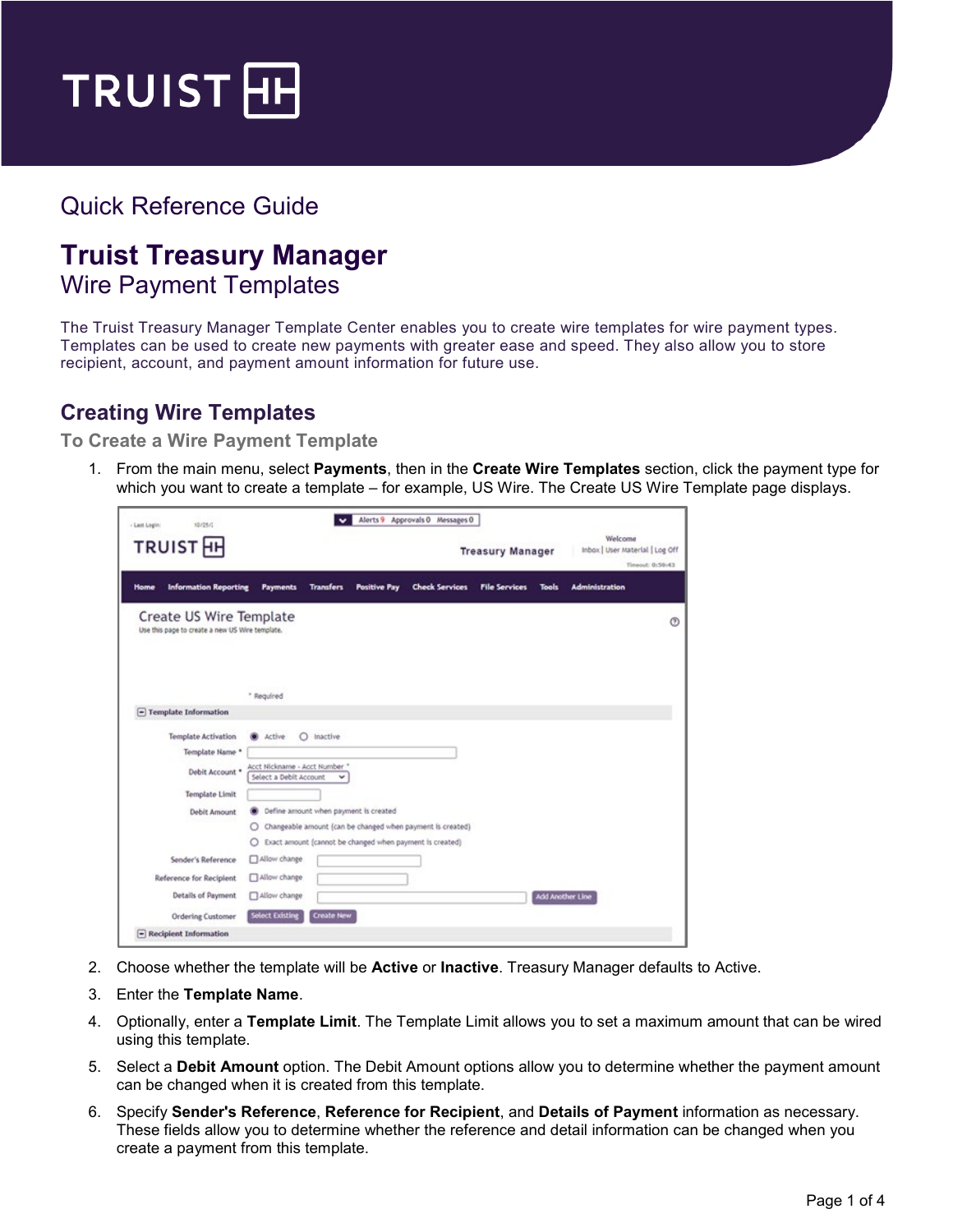

# Quick Reference Guide

# **Truist Treasury Manager**

# Wire Payment Templates

The Truist Treasury Manager Template Center enables you to create wire templates for wire payment types. Templates can be used to create new payments with greater ease and speed. They also allow you to store recipient, account, and payment amount information for future use.

## **Creating Wire Templates**

**To Create a Wire Payment Template**

1. From the main menu, select **Payments**, then in the **Create Wire Templates** section, click the payment type for which you want to create a template – for example, US Wire. The Create US Wire Template page displays.

| <b>TRUIST</b> <sub>H</sub>                                                 |                                                                   |                  |                     |                                                                                                                        | <b>Treasury Manager</b> |                         | Welcome<br>Inbox   User Material   Log Off<br>Timeout: 0:59:43 |
|----------------------------------------------------------------------------|-------------------------------------------------------------------|------------------|---------------------|------------------------------------------------------------------------------------------------------------------------|-------------------------|-------------------------|----------------------------------------------------------------|
| <b>Information Reporting</b><br>Home                                       | Payments                                                          | <b>Transfers</b> | <b>Positive Pay</b> | <b>Check Services</b>                                                                                                  | <b>File Services</b>    | <b>Tools</b>            | <b>Administration</b>                                          |
| Create US Wire Template<br>Use this page to create a new US Wire template. |                                                                   |                  |                     |                                                                                                                        |                         |                         |                                                                |
|                                                                            | * Regulred                                                        |                  |                     |                                                                                                                        |                         |                         |                                                                |
| $\Box$ Template Information                                                |                                                                   |                  |                     |                                                                                                                        |                         |                         |                                                                |
| <b>Template Activation</b><br>Template Name *<br>Debit Account *           | Active<br>Acct Nickname - Acct Number "<br>Select a Debit Account | O Inactive       |                     |                                                                                                                        |                         |                         |                                                                |
| <b>Template Limit</b><br>Debit Amount                                      | Define amount when payment is created<br>O<br>O                   |                  |                     | Changeable amount (can be changed when payment is created)<br>Exact amount (cannot be changed when payment is created) |                         |                         |                                                                |
| Sender's Reference                                                         | Allow change                                                      |                  |                     |                                                                                                                        |                         |                         |                                                                |
| Reference for Recipient                                                    | Allow change                                                      |                  |                     |                                                                                                                        |                         |                         |                                                                |
| Details of Payment                                                         | Allow change                                                      |                  |                     |                                                                                                                        |                         | <b>Add Another Line</b> |                                                                |

- 2. Choose whether the template will be **Active** or **Inactive**. Treasury Manager defaults to Active.
- 3. Enter the **Template Name**.
- 4. Optionally, enter a **Template Limit**. The Template Limit allows you to set a maximum amount that can be wired using this template.
- 5. Select a **Debit Amount** option. The Debit Amount options allow you to determine whether the payment amount can be changed when it is created from this template.
- 6. Specify **Sender's Reference**, **Reference for Recipient**, and **Details of Payment** information as necessary. These fields allow you to determine whether the reference and detail information can be changed when you create a payment from this template.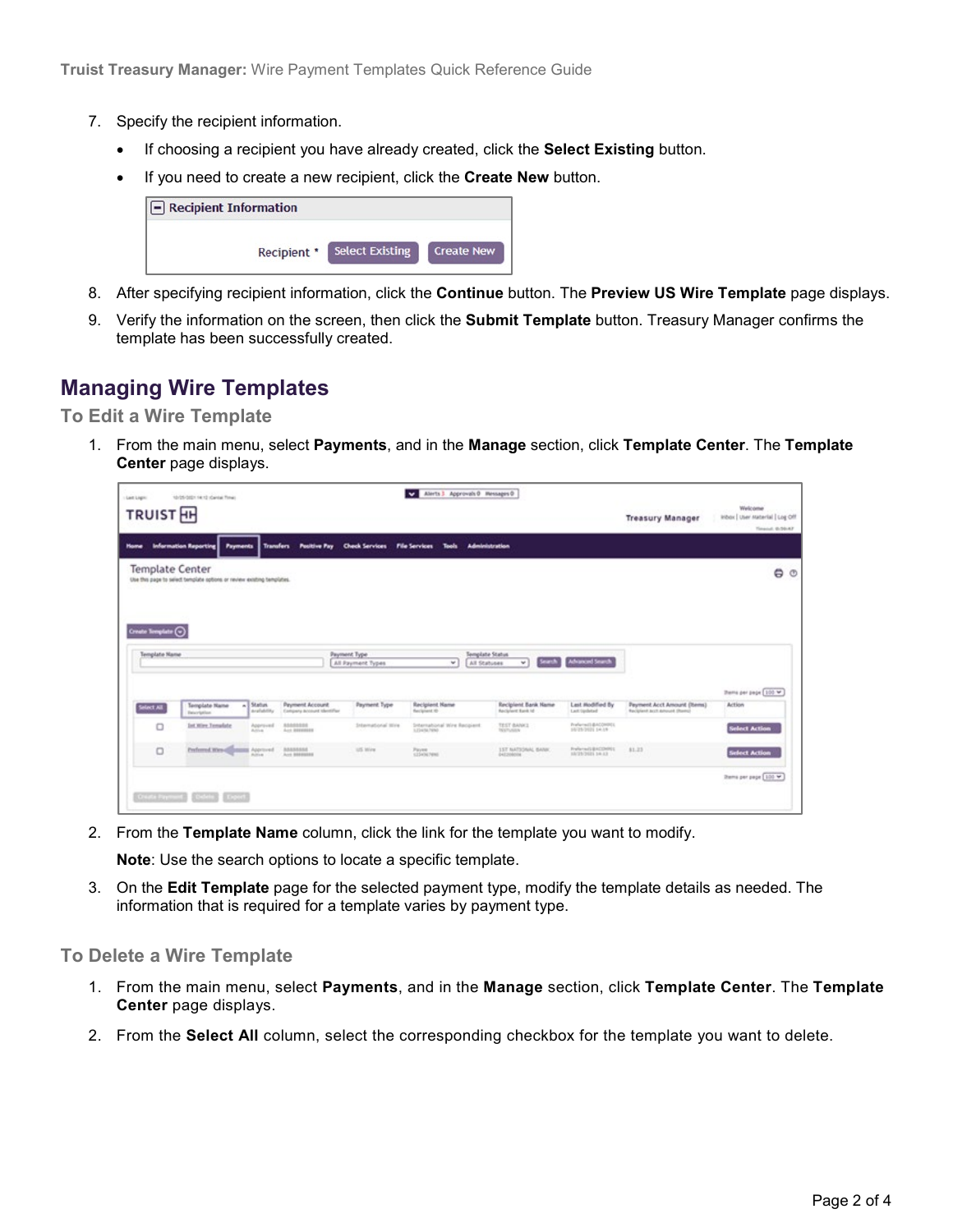- 7. Specify the recipient information.
	- If choosing a recipient you have already created, click the **Select Existing** button.
	- If you need to create a new recipient, click the **Create New** button.

| $\boxed{-}$ Recipient Information |                        |                   |
|-----------------------------------|------------------------|-------------------|
| Recipient *                       | <b>Select Existing</b> | <b>Create New</b> |

- 8. After specifying recipient information, click the **Continue** button. The **Preview US Wire Template** page displays.
- 9. Verify the information on the screen, then click the **Submit Template** button. Treasury Manager confirms the template has been successfully created.

### **Managing Wire Templates**

#### **To Edit a Wire Template**

1. From the main menu, select **Payments**, and in the **Manage** section, click **Template Center**. The **Template Center** page displays.

| Home                   | TRUIST <sub>HH</sub><br><b>Information Reporting</b>                   |                              | Psyments Transfers Positive Pay Check Services File Services Tools |                     | Administration                                          |                                           |                                         | <b>Treasury Manager</b>                                      | Inbox   User nuterial   Log Off<br>Timenut, 0-36-A7 |
|------------------------|------------------------------------------------------------------------|------------------------------|--------------------------------------------------------------------|---------------------|---------------------------------------------------------|-------------------------------------------|-----------------------------------------|--------------------------------------------------------------|-----------------------------------------------------|
| <b>Template Center</b> | Use this page to select template options or review existing templates. |                              |                                                                    |                     |                                                         |                                           |                                         |                                                              | 00                                                  |
|                        |                                                                        |                              |                                                                    |                     |                                                         |                                           |                                         |                                                              |                                                     |
| Create Template (C)    |                                                                        |                              |                                                                    | Payment Type        | Template Status                                         |                                           |                                         |                                                              |                                                     |
|                        |                                                                        |                              |                                                                    |                     | $\sim$<br>All Stabuses                                  | <b>And I</b><br>$\omega$                  | <b>Advanced Search</b>                  |                                                              |                                                     |
| Template Name          |                                                                        |                              |                                                                    | All Payment Types   |                                                         |                                           |                                         |                                                              |                                                     |
|                        |                                                                        |                              |                                                                    |                     |                                                         |                                           |                                         |                                                              | Thema per page 100 M                                |
| Select All             | Template Name<br>×1<br>Execription                                     | <b>Status</b><br>Arafahilike | <b>Payment Account</b><br>Company broover identifier               | Payment Type        | <b>Racipient Name</b><br>flex/givent.htm                | Recipient Bank Hame<br>Recipient Renk ld. | Last Hodified By<br>Last tasked         | Payment Acct Amount (Items)<br>Recipient acct amount (Reend) | <b>Action</b>                                       |
| $\Box$                 | <b>Int Wire Temalate</b>                                               | Approved<br>Activa           | ASBASSOS<br>Arr ESERGERS                                           | International Wrig. | <b>Siterrational Wire Recipient</b><br>L. Double Prints | TEST BANKS<br>THERMAN                     | Prafarmiti@ACOHINEL<br>10/25/2021 14:19 |                                                              | <b>Select Action</b>                                |
| $\Box$                 | Perferred Wes-42                                                       | Approved<br><b>Bullion</b>   | <b>Annancis</b><br>Acc. MANUTEE                                    | US Wine             | Payme<br><b>KISKNOWN</b>                                | 157 NATSCRIAL BARN<br>DATIVACUM           | Preferred BACOMRIL<br>HATENTHER 1-8-AT  | \$1.25                                                       | <b>Select Action</b>                                |

2. From the **Template Name** column, click the link for the template you want to modify.

**Note**: Use the search options to locate a specific template.

3. On the **Edit Template** page for the selected payment type, modify the template details as needed. The information that is required for a template varies by payment type.

#### **To Delete a Wire Template**

- 1. From the main menu, select **Payments**, and in the **Manage** section, click **Template Center**. The **Template Center** page displays.
- 2. From the **Select All** column, select the corresponding checkbox for the template you want to delete.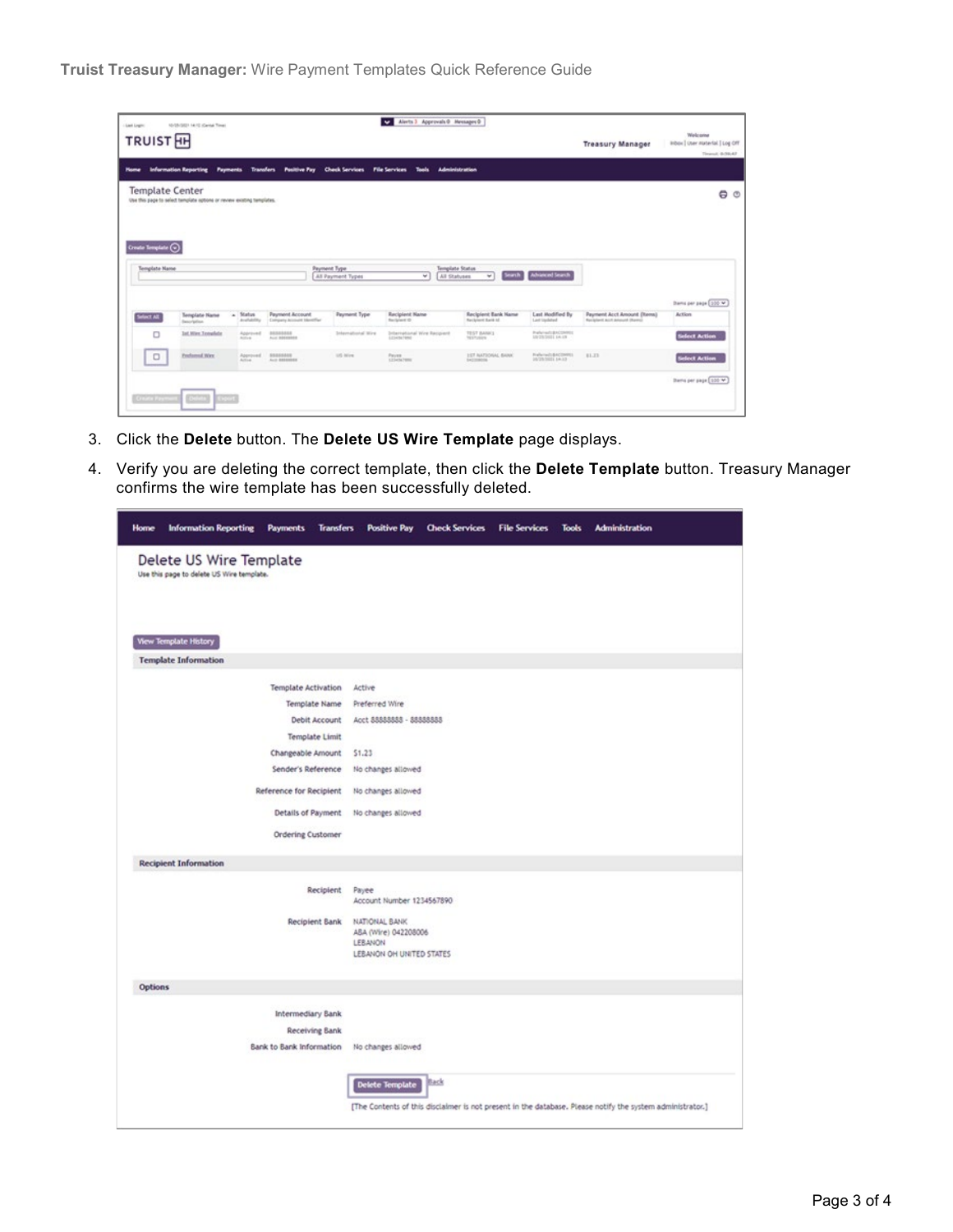| Last Legite<br>TRUIST <sub>EH</sub>         | 10/25/2021 14:12 (Carriel Time)                                        |                          |                                              |                                                     | Alerts 3 Approvals 0 Messages 0<br>$\ddot{ }$ |                                                     |                                                | <b>Treasury Manager</b>                                     | Welcome<br>inbox   User material   Log Off<br>Timerall, 44-944-47 |
|---------------------------------------------|------------------------------------------------------------------------|--------------------------|----------------------------------------------|-----------------------------------------------------|-----------------------------------------------|-----------------------------------------------------|------------------------------------------------|-------------------------------------------------------------|-------------------------------------------------------------------|
| <b>Mome</b>                                 | Information Reporting Payments                                         |                          |                                              | Transfers Positive Pay Check Services File Services | Tools.                                        | Administration                                      |                                                |                                                             |                                                                   |
| <b>Template Center</b>                      | Use this page to select template options or review existing templates. |                          |                                              |                                                     |                                               |                                                     |                                                |                                                             | $\bullet$ $\circ$                                                 |
| Create Semplate $\bigodot$<br>Template Name |                                                                        |                          |                                              | <b>Payment Type:</b><br>AS Payment Types            | $\overline{r}$<br>All Statuses                | Template Status<br><b><i><u>esert</u></i></b><br>w. | <b>Advanced Search</b>                         |                                                             |                                                                   |
| <b>Select All</b>                           | Template Name<br><b>Beautiplier</b>                                    | a Status<br>Availability | Payment Account<br>Company Account Mentifier | Payment Type                                        | Recipient Name<br>Recipient Of                | <b>Recipient Bank Hame</b><br>Recipient Ravis Id.   | Last Modified By<br>Last insidered             | Payment Acct Amount (Items)<br>Recipient and present (Revol | Dams per page (100 W)<br><b>Action</b>                            |
| O                                           | <b>Int West Template</b>                                               | Approved<br>Actives.     | RANAGALA<br>Aug 100000000                    | <b>International Wire</b>                           | International Wire Recipient<br>1234367892    | TEST BANKS<br><b>TESTURIES</b>                      | Preferred: BACONNIE<br><b>UNITATIONS</b> AN AN |                                                             | <b>Select Action</b>                                              |
| $\Box$<br>__                                | Preformal Way:                                                         | Approved.<br>Active.     | <b><i>SEASSANS</i></b><br>ALC: 00000001      | 105 Mire                                            | Payers<br>125mW/mm                            | <b>157 NATIONAL BANK</b><br>SACIONEDIA              | Freleinsch & KOSHRIS<br>10/23/1011 14:13       | 81.23                                                       | <b>Select Action</b>                                              |
| Greening                                    | (CCD)<br><b>Kabula</b>                                                 |                          |                                              |                                                     |                                               |                                                     |                                                |                                                             | Stern per page 100 M                                              |

- 3. Click the **Delete** button. The **Delete US Wire Template** page displays.
- 4. Verify you are deleting the correct template, then click the **Delete Template** button. Treasury Manager confirms the wire template has been successfully deleted.

| <b>Home</b>    | <b>Information Reporting</b>                                         | <b>Payments</b>                     | <b>Transfers</b> | <b>Positive Pay</b>                                                                 | <b>Check Services</b> | <b>File Services</b> | <b>Tools</b> | <b>Administration</b>                                                                                     |
|----------------|----------------------------------------------------------------------|-------------------------------------|------------------|-------------------------------------------------------------------------------------|-----------------------|----------------------|--------------|-----------------------------------------------------------------------------------------------------------|
|                | Delete US Wire Template<br>Use this page to delete US Wire template. |                                     |                  |                                                                                     |                       |                      |              |                                                                                                           |
|                | <b>View Template History</b>                                         |                                     |                  |                                                                                     |                       |                      |              |                                                                                                           |
|                | <b>Template Information</b>                                          |                                     |                  |                                                                                     |                       |                      |              |                                                                                                           |
|                |                                                                      | <b>Template Activation</b>          |                  | Active                                                                              |                       |                      |              |                                                                                                           |
|                |                                                                      | Template Name                       |                  | Preferred Wire                                                                      |                       |                      |              |                                                                                                           |
|                |                                                                      |                                     | Debit Account    | Acct 88888888 - 88888888                                                            |                       |                      |              |                                                                                                           |
|                |                                                                      | Template Limit<br>Changeable Amount |                  | 51.23                                                                               |                       |                      |              |                                                                                                           |
|                |                                                                      | Sender's Reference                  |                  | No changes allowed                                                                  |                       |                      |              |                                                                                                           |
|                |                                                                      | Reference for Recipient             |                  | No changes allowed                                                                  |                       |                      |              |                                                                                                           |
|                |                                                                      | Details of Payment                  |                  | No changes allowed                                                                  |                       |                      |              |                                                                                                           |
|                |                                                                      | <b>Ordering Customer</b>            |                  |                                                                                     |                       |                      |              |                                                                                                           |
|                | <b>Recipient Information</b>                                         |                                     |                  |                                                                                     |                       |                      |              |                                                                                                           |
|                |                                                                      |                                     | Recipient Payee  | Account Number 1234567890                                                           |                       |                      |              |                                                                                                           |
|                |                                                                      | Recipient Bank                      |                  | NATIONAL BANK<br>ASA (Wire) 042208006<br><b>LEBANON</b><br>LEBANON OH UNITED STATES |                       |                      |              |                                                                                                           |
| <b>Options</b> |                                                                      |                                     |                  |                                                                                     |                       |                      |              |                                                                                                           |
|                |                                                                      | Intermediary Bank                   |                  |                                                                                     |                       |                      |              |                                                                                                           |
|                |                                                                      | Receiving Bank                      |                  |                                                                                     |                       |                      |              |                                                                                                           |
|                |                                                                      | Bank to Bank Information            |                  | No changes allowed                                                                  |                       |                      |              |                                                                                                           |
|                |                                                                      |                                     |                  | Delete Template                                                                     | Back                  |                      |              |                                                                                                           |
|                |                                                                      |                                     |                  |                                                                                     |                       |                      |              | [The Contents of this disclaimer is not present in the database. Please notify the system administrator.] |